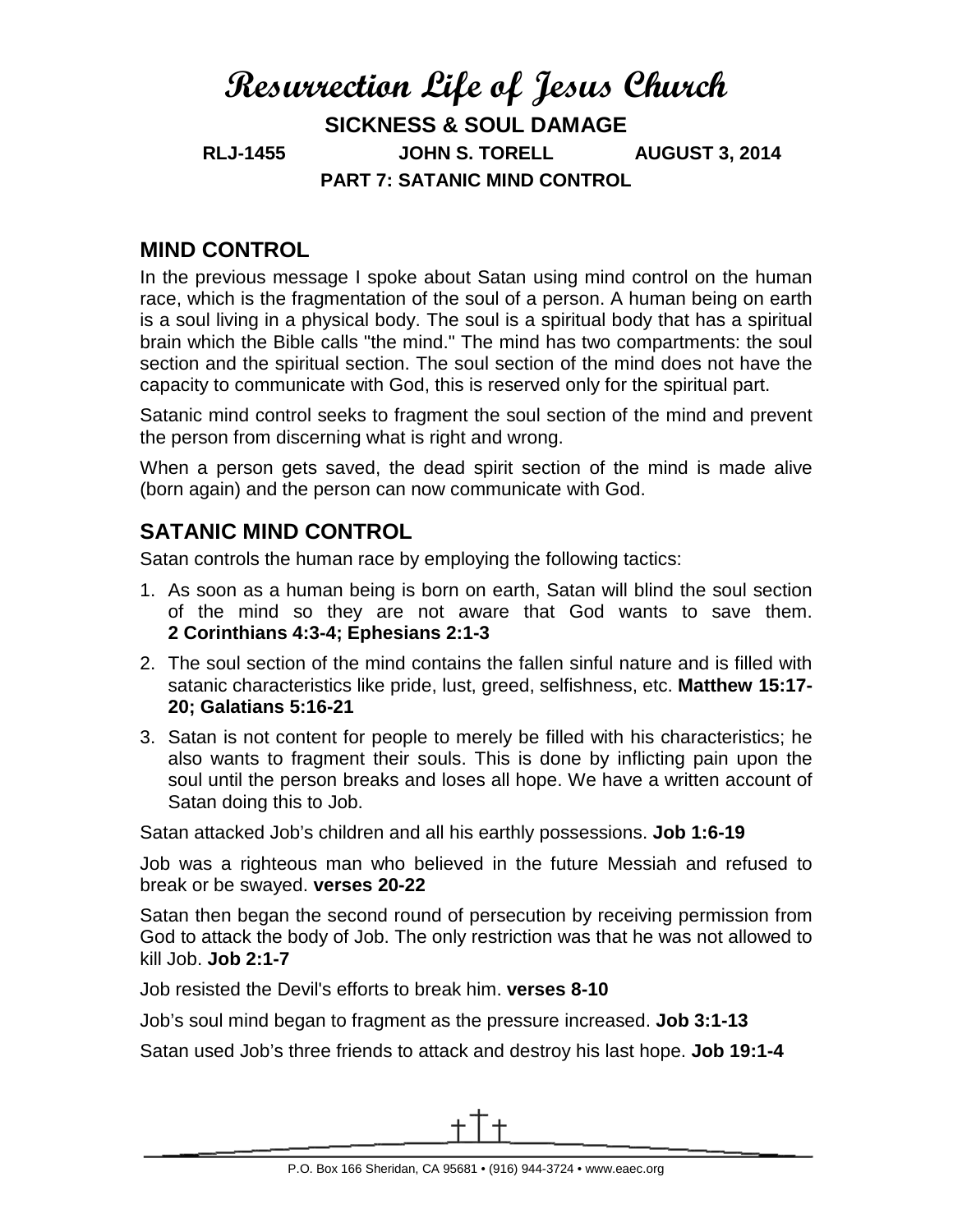## **Resurrection Life of Jesus Church SICKNESS & SOUL DAMAGE RLJ-1455 JOHN S. TORELL AUGUST 3, 2014 PART 7: SATANIC MIND CONTROL**

## **MIND CONTROL**

In the previous message I spoke about Satan using mind control on the human race, which is the fragmentation of the soul of a person. A human being on earth is a soul living in a physical body. The soul is a spiritual body that has a spiritual brain which the Bible calls "the mind." The mind has two compartments: the soul section and the spiritual section. The soul section of the mind does not have the capacity to communicate with God, this is reserved only for the spiritual part.

Satanic mind control seeks to fragment the soul section of the mind and prevent the person from discerning what is right and wrong.

When a person gets saved, the dead spirit section of the mind is made alive (born again) and the person can now communicate with God.

## **SATANIC MIND CONTROL**

Satan controls the human race by employing the following tactics:

- 1. As soon as a human being is born on earth, Satan will blind the soul section of the mind so they are not aware that God wants to save them. **2 Corinthians 4:3-4; Ephesians 2:1-3**
- 2. The soul section of the mind contains the fallen sinful nature and is filled with satanic characteristics like pride, lust, greed, selfishness, etc. **Matthew 15:17- 20; Galatians 5:16-21**
- 3. Satan is not content for people to merely be filled with his characteristics; he also wants to fragment their souls. This is done by inflicting pain upon the soul until the person breaks and loses all hope. We have a written account of Satan doing this to Job.

Satan attacked Job's children and all his earthly possessions. **Job 1:6-19**

Job was a righteous man who believed in the future Messiah and refused to break or be swayed. **verses 20-22**

Satan then began the second round of persecution by receiving permission from God to attack the body of Job. The only restriction was that he was not allowed to kill Job. **Job 2:1-7**

Job resisted the Devil's efforts to break him. **verses 8-10**

Job's soul mind began to fragment as the pressure increased. **Job 3:1-13**

Satan used Job's three friends to attack and destroy his last hope. **Job 19:1-4**